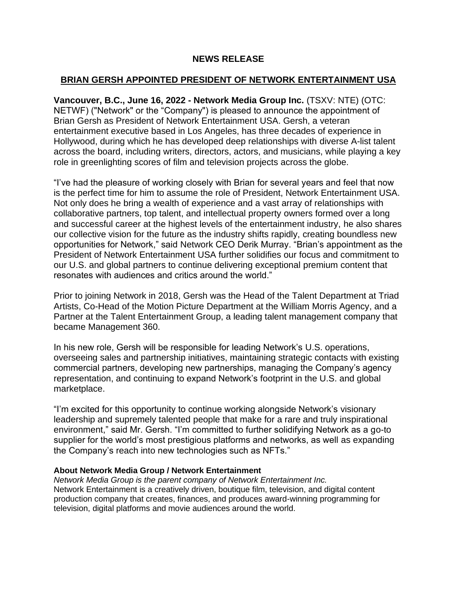## **NEWS RELEASE**

# **BRIAN GERSH APPOINTED PRESIDENT OF NETWORK ENTERTAINMENT USA**

**Vancouver, B.C., June 16, 2022 - Network Media Group Inc.** (TSXV: NTE) (OTC: NETWF) ("Network" or the "Company") is pleased to announce the appointment of Brian Gersh as President of Network Entertainment USA. Gersh, a veteran entertainment executive based in Los Angeles, has three decades of experience in Hollywood, during which he has developed deep relationships with diverse A-list talent across the board, including writers, directors, actors, and musicians, while playing a key role in greenlighting scores of film and television projects across the globe.

"I've had the pleasure of working closely with Brian for several years and feel that now is the perfect time for him to assume the role of President, Network Entertainment USA. Not only does he bring a wealth of experience and a vast array of relationships with collaborative partners, top talent, and intellectual property owners formed over a long and successful career at the highest levels of the entertainment industry, he also shares our collective vision for the future as the industry shifts rapidly, creating boundless new opportunities for Network," said Network CEO Derik Murray. "Brian's appointment as the President of Network Entertainment USA further solidifies our focus and commitment to our U.S. and global partners to continue delivering exceptional premium content that resonates with audiences and critics around the world."

Prior to joining Network in 2018, Gersh was the Head of the Talent Department at Triad Artists, Co-Head of the Motion Picture Department at the William Morris Agency, and a Partner at the Talent Entertainment Group, a leading talent management company that became Management 360.

In his new role, Gersh will be responsible for leading Network's U.S. operations, overseeing sales and partnership initiatives, maintaining strategic contacts with existing commercial partners, developing new partnerships, managing the Company's agency representation, and continuing to expand Network's footprint in the U.S. and global marketplace.

"I'm excited for this opportunity to continue working alongside Network's visionary leadership and supremely talented people that make for a rare and truly inspirational environment," said Mr. Gersh. "I'm committed to further solidifying Network as a go-to supplier for the world's most prestigious platforms and networks, as well as expanding the Company's reach into new technologies such as NFTs."

## **About Network Media Group / Network Entertainment**

*Network Media Group is the parent company of Network Entertainment Inc.* Network Entertainment is a creatively driven, boutique film, television, and digital content production company that creates, finances, and produces award-winning programming for television, digital platforms and movie audiences around the world.